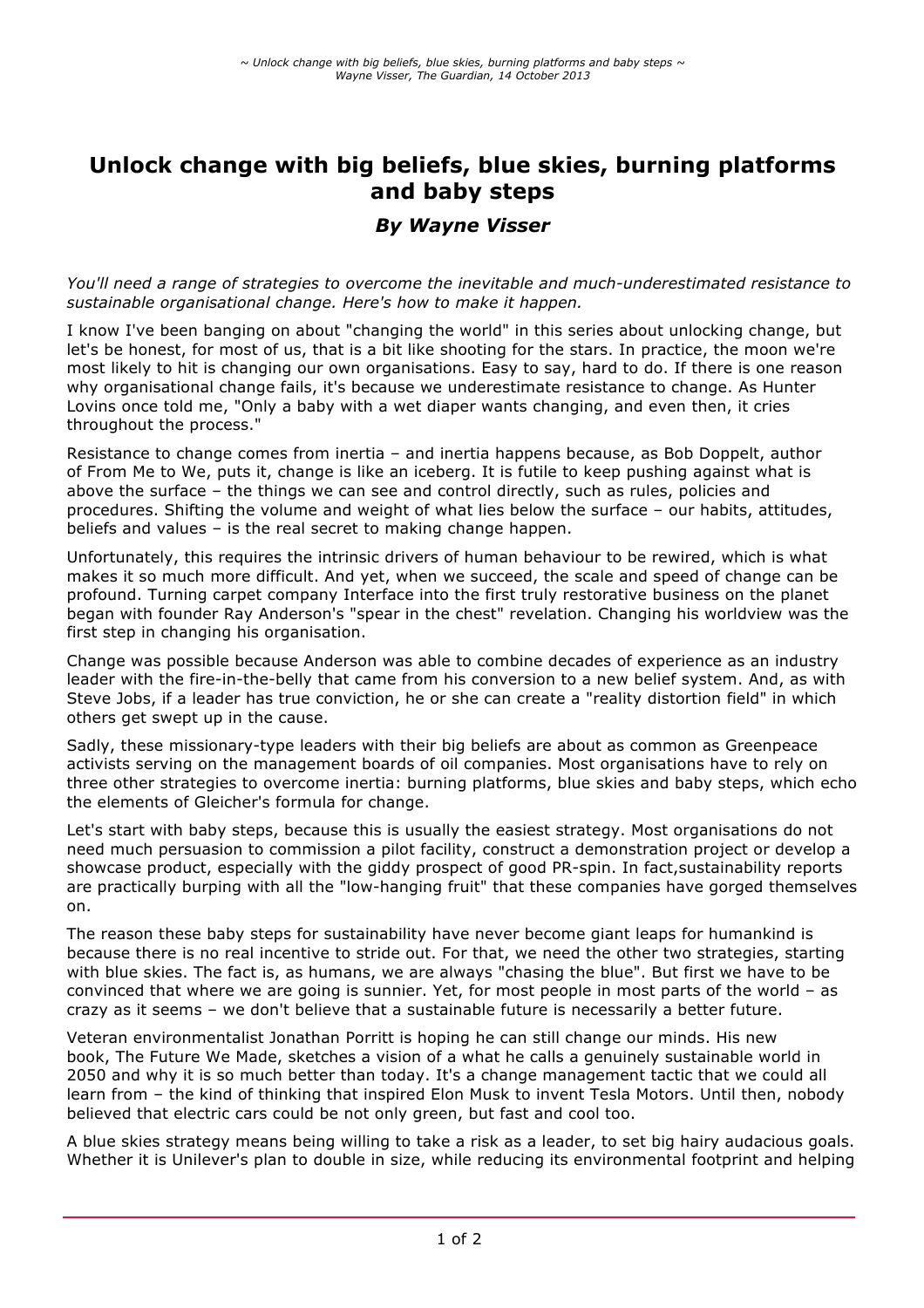# **Unlock change with big beliefs, blue skies, burning platforms and baby steps**

## *By Wayne Visser*

*You'll need a range of strategies to overcome the inevitable and much-underestimated resistance to sustainable organisational change. Here's how to make it happen.*

I know I've been banging on about "changing the world" in this series about unlocking change, but let's be honest, for most of us, that is a bit like shooting for the stars. In practice, the moon we're most likely to hit is changing our own organisations. Easy to say, hard to do. If there is one reason why organisational change fails, it's because we underestimate resistance to change. As Hunter Lovins once told me, "Only a baby with a wet diaper wants changing, and even then, it cries throughout the process."

Resistance to change comes from inertia – and inertia happens because, as Bob Doppelt, author of From Me to We, puts it, change is like an iceberg. It is futile to keep pushing against what is above the surface – the things we can see and control directly, such as rules, policies and procedures. Shifting the volume and weight of what lies below the surface – our habits, attitudes, beliefs and values – is the real secret to making change happen.

Unfortunately, this requires the intrinsic drivers of human behaviour to be rewired, which is what makes it so much more difficult. And yet, when we succeed, the scale and speed of change can be profound. Turning carpet company Interface into the first truly restorative business on the planet began with founder Ray Anderson's "spear in the chest" revelation. Changing his worldview was the first step in changing his organisation.

Change was possible because Anderson was able to combine decades of experience as an industry leader with the fire-in-the-belly that came from his conversion to a new belief system. And, as with Steve Jobs, if a leader has true conviction, he or she can create a "reality distortion field" in which others get swept up in the cause.

Sadly, these missionary-type leaders with their big beliefs are about as common as Greenpeace activists serving on the management boards of oil companies. Most organisations have to rely on three other strategies to overcome inertia: burning platforms, blue skies and baby steps, which echo the elements of Gleicher's formula for change.

Let's start with baby steps, because this is usually the easiest strategy. Most organisations do not need much persuasion to commission a pilot facility, construct a demonstration project or develop a showcase product, especially with the giddy prospect of good PR-spin. In fact,sustainability reports are practically burping with all the "low-hanging fruit" that these companies have gorged themselves on.

The reason these baby steps for sustainability have never become giant leaps for humankind is because there is no real incentive to stride out. For that, we need the other two strategies, starting with blue skies. The fact is, as humans, we are always "chasing the blue". But first we have to be convinced that where we are going is sunnier. Yet, for most people in most parts of the world – as crazy as it seems – we don't believe that a sustainable future is necessarily a better future.

Veteran environmentalist Jonathan Porritt is hoping he can still change our minds. His new book, The Future We Made, sketches a vision of a what he calls a genuinely sustainable world in 2050 and why it is so much better than today. It's a change management tactic that we could all learn from – the kind of thinking that inspired Elon Musk to invent Tesla Motors. Until then, nobody believed that electric cars could be not only green, but fast and cool too.

A blue skies strategy means being willing to take a risk as a leader, to set big hairy audacious goals. Whether it is Unilever's plan to double in size, while reducing its environmental footprint and helping